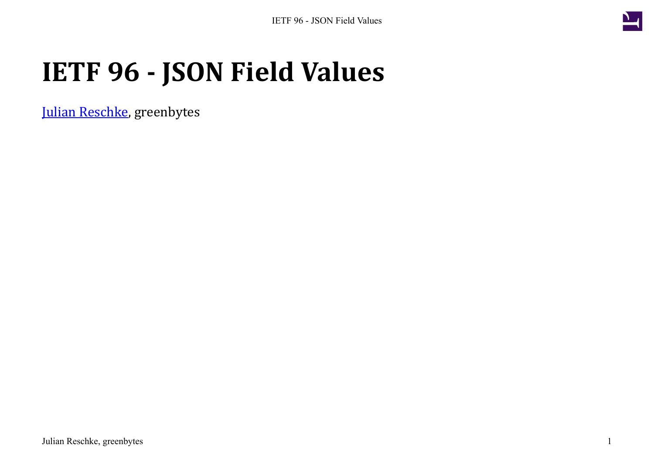

## **IETF 96 - JSON Field Values**

[Julian Reschke](mailto:julian.reschke@greenbytes.de), greenbytes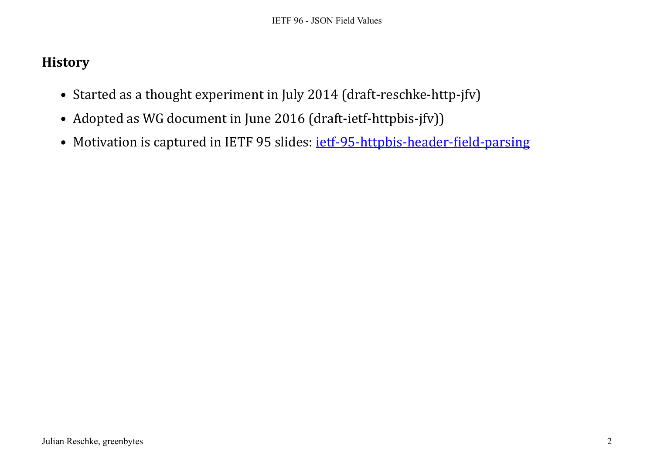## **History**

- Started as a thought experiment in July 2014 (draft-reschke-http-jfv)
- Adopted as WG document in June 2016 (draft-ietf-httpbis-jfv))
- Motivation is captured in IETF 95 slides: [ietf-95-httpbis-header-field-parsing](https://svn.tools.ietf.org/svn/wg/httpbis/wg_materials/ietf95/ietf-95-httpbis-header-field-parsing.pdf)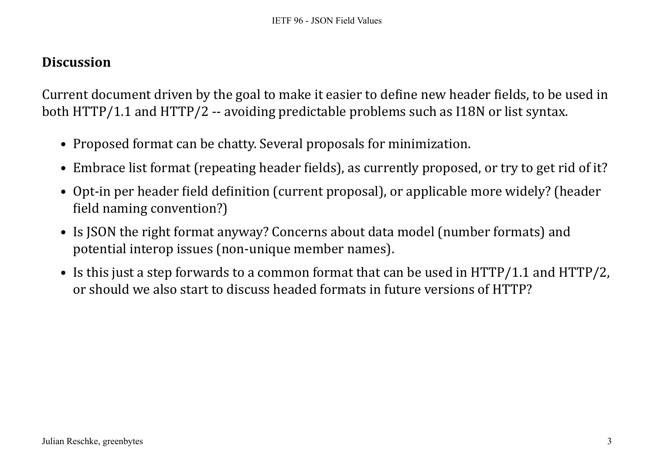## **Discussion**

Current document driven by the goal to make it easier to define new header fields, to be used in both HTTP/1.1 and HTTP/2 -- avoiding predictable problems such as I18N or list syntax.

- Proposed format can be chatty. Several proposals for minimization.
- Embrace list format (repeating header fields), as currently proposed, or try to get rid of it?
- Opt-in per header field definition (current proposal), or applicable more widely? (header field naming convention?)
- Is JSON the right format anyway? Concerns about data model (number formats) and potential interop issues (non-unique member names).
- Is this just a step forwards to a common format that can be used in HTTP/1.1 and HTTP/2, or should we also start to discuss headed formats in future versions of HTTP?